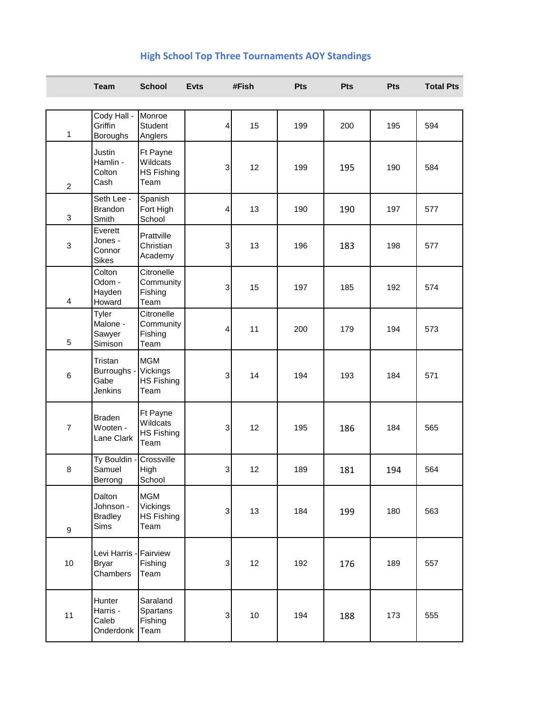## **High School Top Three Tournaments AOY Standings**

|                  | <b>Team</b>                                        | <b>School</b>                                       | <b>Evts</b>               | #Fish | Pts | <b>Pts</b> | Pts | <b>Total Pts</b> |
|------------------|----------------------------------------------------|-----------------------------------------------------|---------------------------|-------|-----|------------|-----|------------------|
| 1                | Cody Hall -<br>Griffin<br><b>Boroughs</b>          | Monroe<br>Student<br>Anglers                        | $\vert$                   | 15    | 199 | 200        | 195 | 594              |
| $\overline{c}$   | <b>Justin</b><br>Hamlin -<br>Colton<br>Cash        | Ft Payne<br>Wildcats<br>HS Fishing<br>Team          | $\ensuremath{\mathsf{3}}$ | 12    | 199 | 195        | 190 | 584              |
| $\mathbf{3}$     | Seth Lee -<br><b>Brandon</b><br>Smith              | Spanish<br>Fort High<br>School                      | 4                         | 13    | 190 | 190        | 197 | 577              |
| $\sqrt{3}$       | Everett<br>Jones -<br>Connor<br><b>Sikes</b>       | Prattville<br>Christian<br>Academy                  | $\mathbf{3}$              | 13    | 196 | 183        | 198 | 577              |
| 4                | Colton<br>Odom -<br>Hayden<br>Howard               | Citronelle<br>Community<br>Fishing<br>Team          | 3                         | 15    | 197 | 185        | 192 | 574              |
| $\mathbf 5$      | Tyler<br>Malone -<br>Sawyer<br>Simison             | Citronelle<br>Community<br>Fishing<br>Team          | 4                         | 11    | 200 | 179        | 194 | 573              |
| $\,6$            | Tristan<br>Burroughs -<br>Gabe<br>Jenkins          | <b>MGM</b><br>Vickings<br><b>HS Fishing</b><br>Team | $\ensuremath{\mathsf{3}}$ | 14    | 194 | 193        | 184 | 571              |
| $\overline{7}$   | <b>Braden</b><br>Wooten -<br>Lane Clark            | Ft Payne<br>Wildcats<br><b>HS Fishing</b><br>Team   | 3                         | 12    | 195 | 186        | 184 | 565              |
| 8                | Ty Bouldin<br>Samuel<br>Berrong                    | Crossville<br>High<br>School                        | $\mathbf{3}$              | 12    | 189 | 181        | 194 | 564              |
| $\boldsymbol{9}$ | Dalton<br>Johnson -<br><b>Bradley</b><br>Sims      | <b>MGM</b><br>Vickings<br><b>HS Fishing</b><br>Team | $\mathbf{3}$              | 13    | 184 | 199        | 180 | 563              |
| 10               | Levi Harris - Fairview<br><b>Bryar</b><br>Chambers | Fishing<br>Team                                     | $\ensuremath{\mathsf{3}}$ | 12    | 192 | 176        | 189 | 557              |
| 11               | Hunter<br>Harris -<br>Caleb<br>Onderdonk           | Saraland<br>Spartans<br>Fishing<br>Team             | $\ensuremath{\mathsf{3}}$ | 10    | 194 | 188        | 173 | 555              |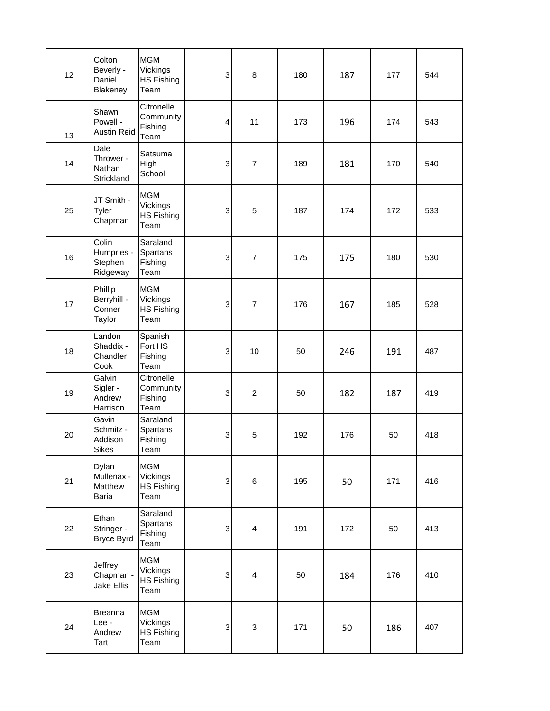| 12 | Colton<br>Beverly -<br>Daniel<br>Blakeney     | <b>MGM</b><br>Vickings<br><b>HS Fishing</b><br>Team | $\ensuremath{\mathsf{3}}$ | 8              | 180 | 187 | 177 | 544 |
|----|-----------------------------------------------|-----------------------------------------------------|---------------------------|----------------|-----|-----|-----|-----|
| 13 | Shawn<br>Powell -<br><b>Austin Reid</b>       | Citronelle<br>Community<br>Fishing<br>Team          | 4                         | 11             | 173 | 196 | 174 | 543 |
| 14 | Dale<br>Thrower -<br>Nathan<br>Strickland     | Satsuma<br>High<br>School                           | 3                         | $\overline{7}$ | 189 | 181 | 170 | 540 |
| 25 | JT Smith -<br>Tyler<br>Chapman                | <b>MGM</b><br>Vickings<br><b>HS Fishing</b><br>Team | $\sqrt{3}$                | 5              | 187 | 174 | 172 | 533 |
| 16 | Colin<br>Humpries -<br>Stephen<br>Ridgeway    | Saraland<br>Spartans<br>Fishing<br>Team             | $\ensuremath{\mathsf{3}}$ | $\overline{7}$ | 175 | 175 | 180 | 530 |
| 17 | Phillip<br>Berryhill -<br>Conner<br>Taylor    | <b>MGM</b><br>Vickings<br><b>HS Fishing</b><br>Team | 3                         | $\overline{7}$ | 176 | 167 | 185 | 528 |
| 18 | Landon<br>Shaddix -<br>Chandler<br>Cook       | Spanish<br>Fort HS<br>Fishing<br>Team               | 3                         | 10             | 50  | 246 | 191 | 487 |
| 19 | Galvin<br>Sigler -<br>Andrew<br>Harrison      | Citronelle<br>Community<br>Fishing<br>Team          | 3                         | $\overline{c}$ | 50  | 182 | 187 | 419 |
| 20 | Gavin<br>Schmitz -<br>Addison<br><b>Sikes</b> | Saraland<br>Spartans<br>Fishing<br>Team             | 3                         | 5              | 192 | 176 | 50  | 418 |
| 21 | Dylan<br>Mullenax -<br>Matthew<br>Baria       | <b>MGM</b><br>Vickings<br><b>HS Fishing</b><br>Team | $\ensuremath{\mathsf{3}}$ | 6              | 195 | 50  | 171 | 416 |
| 22 | Ethan<br>Stringer -<br>Bryce Byrd             | Saraland<br>Spartans<br>Fishing<br>Team             | $\ensuremath{\mathsf{3}}$ | 4              | 191 | 172 | 50  | 413 |
| 23 | Jeffrey<br>Chapman -<br>Jake Ellis            | <b>MGM</b><br>Vickings<br><b>HS Fishing</b><br>Team | 3                         | $\overline{4}$ | 50  | 184 | 176 | 410 |
| 24 | Breanna<br>Lee -<br>Andrew<br>Tart            | <b>MGM</b><br>Vickings<br><b>HS Fishing</b><br>Team | $\ensuremath{\mathsf{3}}$ | 3              | 171 | 50  | 186 | 407 |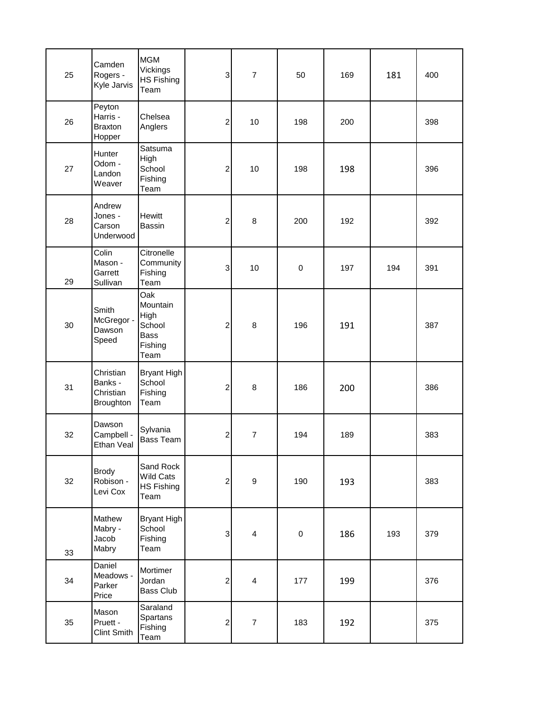| 25 | Camden<br>Rogers -<br>Kyle Jarvis              | <b>MGM</b><br>Vickings<br><b>HS Fishing</b><br>Team                 | 3                         | $\overline{7}$          | 50        | 169 | 181 | 400 |
|----|------------------------------------------------|---------------------------------------------------------------------|---------------------------|-------------------------|-----------|-----|-----|-----|
| 26 | Peyton<br>Harris -<br><b>Braxton</b><br>Hopper | Chelsea<br>Anglers                                                  | $\overline{\mathbf{c}}$   | 10                      | 198       | 200 |     | 398 |
| 27 | Hunter<br>Odom -<br>Landon<br>Weaver           | Satsuma<br>High<br>School<br>Fishing<br>Team                        | 2                         | 10                      | 198       | 198 |     | 396 |
| 28 | Andrew<br>Jones -<br>Carson<br>Underwood       | <b>Hewitt</b><br>Bassin                                             | $\overline{\mathbf{c}}$   | 8                       | 200       | 192 |     | 392 |
| 29 | Colin<br>Mason -<br>Garrett<br>Sullivan        | Citronelle<br>Community<br>Fishing<br>Team                          | 3                         | 10                      | $\pmb{0}$ | 197 | 194 | 391 |
| 30 | Smith<br>McGregor -<br>Dawson<br>Speed         | Oak<br>Mountain<br>High<br>School<br><b>Bass</b><br>Fishing<br>Team | $\overline{\mathbf{c}}$   | $\,8\,$                 | 196       | 191 |     | 387 |
| 31 | Christian<br>Banks -<br>Christian<br>Broughton | <b>Bryant High</b><br>School<br>Fishing<br>Team                     | 2                         | 8                       | 186       | 200 |     | 386 |
| 32 | Dawson<br>Campbell -<br>Ethan Veal             | Sylvania<br>Bass Team                                               | $\overline{\mathbf{c}}$   | $\overline{7}$          | 194       | 189 |     | 383 |
| 32 | <b>Brody</b><br>Robison -<br>Levi Cox          | Sand Rock<br>Wild Cats<br><b>HS Fishing</b><br>Team                 | $\overline{\mathbf{c}}$   | $\boldsymbol{9}$        | 190       | 193 |     | 383 |
| 33 | Mathew<br>Mabry -<br>Jacob<br>Mabry            | <b>Bryant High</b><br>School<br>Fishing<br>Team                     | $\ensuremath{\mathsf{3}}$ | $\overline{\mathbf{4}}$ | $\pmb{0}$ | 186 | 193 | 379 |
| 34 | Daniel<br>Meadows -<br>Parker<br>Price         | Mortimer<br>Jordan<br>Bass Club                                     | $\mathbf 2$               | $\overline{4}$          | 177       | 199 |     | 376 |
| 35 | Mason<br>Pruett -<br>Clint Smith               | Saraland<br>Spartans<br>Fishing<br>Team                             | $\overline{\mathbf{c}}$   | $\overline{7}$          | 183       | 192 |     | 375 |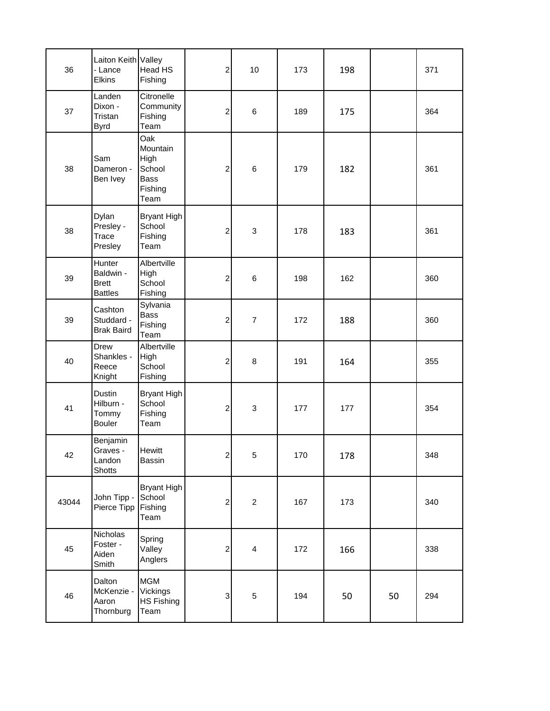| 36    | Laiton Keith Valley<br>- Lance<br><b>Elkins</b>       | Head HS<br>Fishing                                                  | $\overline{a}$            | 10                        | 173 | 198 |    | 371 |
|-------|-------------------------------------------------------|---------------------------------------------------------------------|---------------------------|---------------------------|-----|-----|----|-----|
| 37    | Landen<br>Dixon -<br>Tristan<br><b>Byrd</b>           | Citronelle<br>Community<br>Fishing<br>Team                          | $\overline{c}$            | $\,6$                     | 189 | 175 |    | 364 |
| 38    | Sam<br>Dameron -<br>Ben Ivey                          | Oak<br>Mountain<br>High<br>School<br><b>Bass</b><br>Fishing<br>Team | $\overline{\mathbf{c}}$   | $\,6$                     | 179 | 182 |    | 361 |
| 38    | Dylan<br>Presley -<br>Trace<br>Presley                | <b>Bryant High</b><br>School<br>Fishing<br>Team                     | $\overline{c}$            | $\ensuremath{\mathsf{3}}$ | 178 | 183 |    | 361 |
| 39    | Hunter<br>Baldwin -<br><b>Brett</b><br><b>Battles</b> | Albertville<br>High<br>School<br>Fishing                            | $\overline{c}$            | $\,6$                     | 198 | 162 |    | 360 |
| 39    | Cashton<br>Studdard -<br><b>Brak Baird</b>            | Sylvania<br><b>Bass</b><br>Fishing<br>Team                          | $\overline{c}$            | $\overline{7}$            | 172 | 188 |    | 360 |
| 40    | Drew<br>Shankles -<br>Reece<br>Knight                 | Albertville<br>High<br>School<br>Fishing                            | $\mathbf 2$               | 8                         | 191 | 164 |    | 355 |
| 41    | Dustin<br>Hilburn -<br>Tommy<br><b>Bouler</b>         | <b>Bryant High</b><br>School<br>Fishing<br>Team                     | $\overline{c}$            | $\mathfrak{S}$            | 177 | 177 |    | 354 |
| 42    | Benjamin<br>Graves -<br>Landon<br><b>Shotts</b>       | <b>Hewitt</b><br>Bassin                                             | $\mathbf{2}$              | $\mathbf 5$               | 170 | 178 |    | 348 |
| 43044 | John Tipp -<br>Pierce Tipp                            | <b>Bryant High</b><br>School<br>Fishing<br>Team                     | $\mathbf 2$               | $\overline{c}$            | 167 | 173 |    | 340 |
| 45    | Nicholas<br>Foster -<br>Aiden<br>Smith                | Spring<br>Valley<br>Anglers                                         | $\overline{c}$            | $\overline{4}$            | 172 | 166 |    | 338 |
| 46    | Dalton<br>McKenzie -<br>Aaron<br>Thornburg            | <b>MGM</b><br>Vickings<br><b>HS Fishing</b><br>Team                 | $\ensuremath{\mathsf{3}}$ | $\mathbf 5$               | 194 | 50  | 50 | 294 |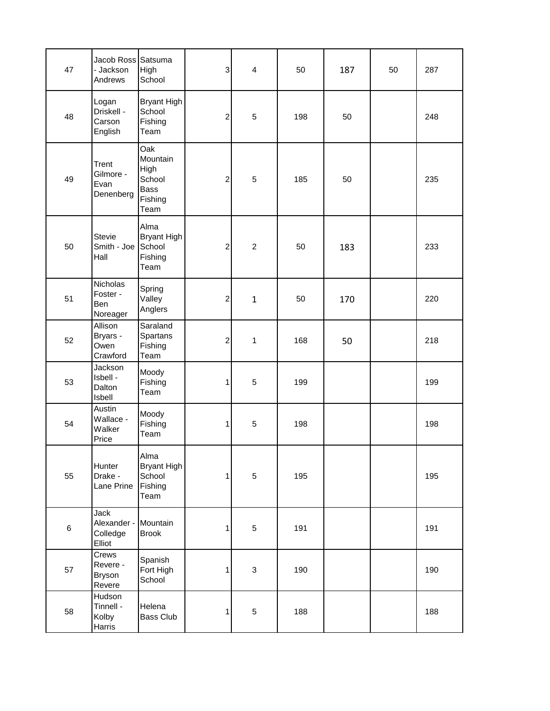| 47    | Jacob Ross Satsuma<br>- Jackson<br>Andrews   | High<br>School                                                      | $\ensuremath{\mathsf{3}}$ | $\overline{4}$ | 50  | 187 | 50 | 287 |
|-------|----------------------------------------------|---------------------------------------------------------------------|---------------------------|----------------|-----|-----|----|-----|
| 48    | Logan<br>Driskell -<br>Carson<br>English     | <b>Bryant High</b><br>School<br>Fishing<br>Team                     | 2                         | $\sqrt{5}$     | 198 | 50  |    | 248 |
| 49    | Trent<br>Gilmore -<br>Evan<br>Denenberg      | Oak<br>Mountain<br>High<br>School<br><b>Bass</b><br>Fishing<br>Team | $\overline{\mathbf{c}}$   | 5              | 185 | 50  |    | 235 |
| 50    | <b>Stevie</b><br>Smith - Joe<br>Hall         | Alma<br>Bryant High<br>School<br>Fishing<br>Team                    | $\overline{\mathbf{c}}$   | $\overline{c}$ | 50  | 183 |    | 233 |
| 51    | Nicholas<br>Foster -<br>Ben<br>Noreager      | Spring<br>Valley<br>Anglers                                         | $\overline{\mathbf{c}}$   | $\mathbf{1}$   | 50  | 170 |    | 220 |
| 52    | Allison<br>Bryars -<br>Owen<br>Crawford      | Saraland<br>Spartans<br>Fishing<br>Team                             | $\overline{\mathbf{c}}$   | 1              | 168 | 50  |    | 218 |
| 53    | Jackson<br>Isbell -<br>Dalton<br>Isbell      | Moody<br>Fishing<br>Team                                            | 1                         | $\overline{5}$ | 199 |     |    | 199 |
| 54    | Austin<br>Wallace -<br>Walker<br>Price       | Moody<br>Fishing<br>Team                                            | 1                         | $\sqrt{5}$     | 198 |     |    | 198 |
| 55    | Hunter<br>Drake -<br>Lane Prine              | Alma<br><b>Bryant High</b><br>School<br>Fishing<br>Team             | 1                         | $\sqrt{5}$     | 195 |     |    | 195 |
| $\,6$ | Jack<br>Alexander -<br>Colledge<br>Elliot    | Mountain<br><b>Brook</b>                                            | 1                         | $\sqrt{5}$     | 191 |     |    | 191 |
| 57    | Crews<br>Revere -<br><b>Bryson</b><br>Revere | Spanish<br>Fort High<br>School                                      | 1                         | $\sqrt{3}$     | 190 |     |    | 190 |
| 58    | Hudson<br>Tinnell -<br>Kolby<br>Harris       | Helena<br>Bass Club                                                 | 1                         | $\sqrt{5}$     | 188 |     |    | 188 |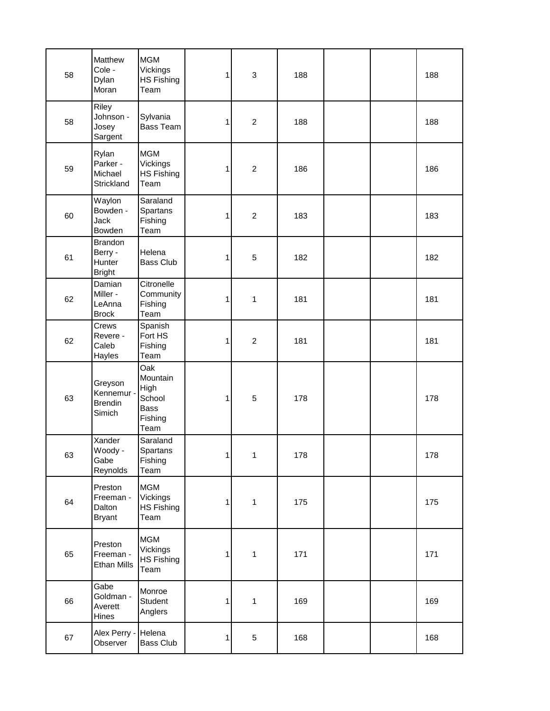| 58 | Matthew<br>Cole -<br>Dylan<br>Moran                  | <b>MGM</b><br>Vickings<br><b>HS Fishing</b><br>Team                 | 1            | $\ensuremath{\mathsf{3}}$ | 188 |  | 188 |
|----|------------------------------------------------------|---------------------------------------------------------------------|--------------|---------------------------|-----|--|-----|
| 58 | Riley<br>Johnson -<br>Josey<br>Sargent               | Sylvania<br>Bass Team                                               | 1            | $\overline{2}$            | 188 |  | 188 |
| 59 | Rylan<br>Parker -<br>Michael<br>Strickland           | <b>MGM</b><br>Vickings<br><b>HS Fishing</b><br>Team                 | 1            | $\overline{2}$            | 186 |  | 186 |
| 60 | Waylon<br>Bowden -<br>Jack<br>Bowden                 | Saraland<br>Spartans<br>Fishing<br>Team                             | 1            | $\overline{c}$            | 183 |  | 183 |
| 61 | <b>Brandon</b><br>Berry -<br>Hunter<br><b>Bright</b> | Helena<br><b>Bass Club</b>                                          | 1            | 5                         | 182 |  | 182 |
| 62 | Damian<br>Miller -<br>LeAnna<br><b>Brock</b>         | Citronelle<br>Community<br>Fishing<br>Team                          | 1            | 1                         | 181 |  | 181 |
| 62 | Crews<br>Revere -<br>Caleb<br>Hayles                 | Spanish<br>Fort HS<br>Fishing<br>Team                               | 1            | $\overline{c}$            | 181 |  | 181 |
| 63 | Greyson<br>Kennemur -<br><b>Brendin</b><br>Simich    | Oak<br>Mountain<br>High<br>School<br><b>Bass</b><br>Fishing<br>Team | 1            | $\sqrt{5}$                | 178 |  | 178 |
| 63 | Xander<br>Woody -<br>Gabe<br>Reynolds                | Saraland<br>Spartans<br>Fishing<br>Team                             | $\mathbf{1}$ | 1                         | 178 |  | 178 |
| 64 | Preston<br>Freeman -<br>Dalton<br><b>Bryant</b>      | <b>MGM</b><br>Vickings<br><b>HS Fishing</b><br>Team                 | 1            | $\mathbf{1}$              | 175 |  | 175 |
| 65 | Preston<br>Freeman -<br><b>Ethan Mills</b>           | <b>MGM</b><br>Vickings<br><b>HS Fishing</b><br>Team                 | 1            | $\mathbf{1}$              | 171 |  | 171 |
| 66 | Gabe<br>Goldman -<br>Averett<br>Hines                | Monroe<br>Student<br>Anglers                                        | 1            | $\mathbf{1}$              | 169 |  | 169 |
| 67 | Alex Perry -<br>Observer                             | Helena<br>Bass Club                                                 | 1            | $\sqrt{5}$                | 168 |  | 168 |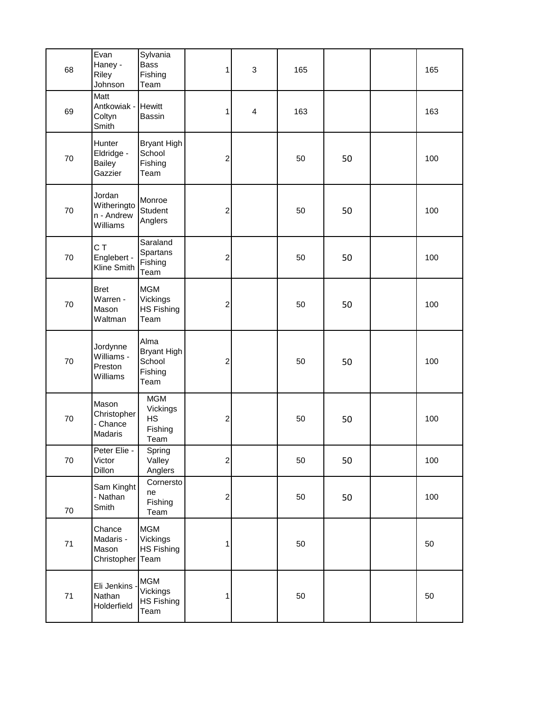| 68   | Evan<br>Haney -<br>Riley<br>Johnson              | Sylvania<br>Bass<br>Fishing<br>Team                     | $\mathbf{1}$            | 3                       | 165 |    | 165 |  |
|------|--------------------------------------------------|---------------------------------------------------------|-------------------------|-------------------------|-----|----|-----|--|
| 69   | Matt<br>Antkowiak - Hewitt<br>Coltyn<br>Smith    | Bassin                                                  | $\mathbf{1}$            | $\overline{\mathbf{4}}$ | 163 |    | 163 |  |
| 70   | Hunter<br>Eldridge -<br>Bailey<br>Gazzier        | Bryant High<br>School<br>Fishing<br>Team                | $\overline{\mathbf{c}}$ |                         | 50  | 50 | 100 |  |
| 70   | Jordan<br>Witheringto<br>n - Andrew<br>Williams  | Monroe<br>Student<br>Anglers                            | $\overline{\mathbf{c}}$ |                         | 50  | 50 | 100 |  |
| 70   | C T<br>Englebert -<br>Kline Smith                | Saraland<br>Spartans<br>Fishing<br>Team                 | $\overline{\mathbf{c}}$ |                         | 50  | 50 | 100 |  |
| 70   | <b>Bret</b><br>Warren -<br>Mason<br>Waltman      | <b>MGM</b><br>Vickings<br><b>HS Fishing</b><br>Team     | $\overline{\mathbf{c}}$ |                         | 50  | 50 | 100 |  |
| 70   | Jordynne<br>Williams -<br>Preston<br>Williams    | Alma<br><b>Bryant High</b><br>School<br>Fishing<br>Team | $\overline{c}$          |                         | 50  | 50 | 100 |  |
| 70   | Mason<br>Christopher<br>- Chance<br>Madaris      | <b>MGM</b><br>Vickings<br>HS<br>Fishing<br>Team         | $\overline{\mathbf{c}}$ |                         | 50  | 50 | 100 |  |
| 70   | Peter Elie -<br>Victor<br>Dillon                 | Spring<br>Valley<br>Anglers                             | $\overline{c}$          |                         | 50  | 50 | 100 |  |
| 70   | Sam Kinght<br>- Nathan<br>Smith                  | Cornersto<br>ne<br>Fishing<br>Team                      | $\overline{\mathbf{c}}$ |                         | 50  | 50 | 100 |  |
| 71   | Chance<br>Madaris -<br>Mason<br>Christopher Team | <b>MGM</b><br>Vickings<br><b>HS Fishing</b>             | 1                       |                         | 50  |    | 50  |  |
| $71$ | Eli Jenkins<br>Nathan<br>Holderfield             | <b>MGM</b><br>Vickings<br><b>HS Fishing</b><br>Team     | 1                       |                         | 50  |    | 50  |  |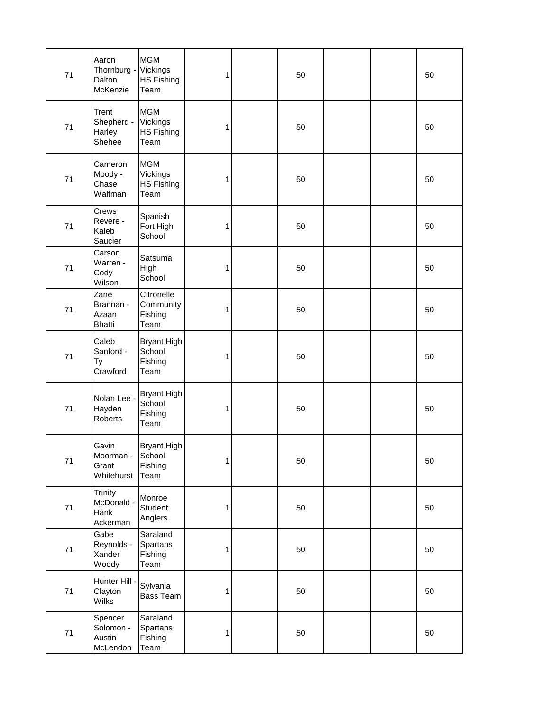| 71 | Aaron<br>Thornburg -<br>Dalton<br>McKenzie       | <b>MGM</b><br>Vickings<br>HS Fishing<br>Team        | 1 | 50 |  | 50 |
|----|--------------------------------------------------|-----------------------------------------------------|---|----|--|----|
| 71 | Trent<br>Shepherd -<br>Harley<br>Shehee          | <b>MGM</b><br>Vickings<br><b>HS Fishing</b><br>Team | 1 | 50 |  | 50 |
| 71 | Cameron<br>Moody -<br>Chase<br>Waltman           | <b>MGM</b><br>Vickings<br><b>HS Fishing</b><br>Team | 1 | 50 |  | 50 |
| 71 | Crews<br>Revere -<br>Kaleb<br>Saucier            | Spanish<br>Fort High<br>School                      | 1 | 50 |  | 50 |
| 71 | Carson<br>Warren -<br>Cody<br>Wilson             | Satsuma<br>High<br>School                           | 1 | 50 |  | 50 |
| 71 | Zane<br>Brannan -<br>Azaan<br><b>Bhatti</b>      | Citronelle<br>Community<br>Fishing<br>Team          | 1 | 50 |  | 50 |
| 71 | Caleb<br>Sanford -<br>Ty<br>Crawford             | Bryant High<br>School<br>Fishing<br>Team            | 1 | 50 |  | 50 |
| 71 | Nolan Lee -<br>Hayden<br>Roberts                 | <b>Bryant High</b><br>School<br>Fishing<br>Team     | 1 | 50 |  | 50 |
| 71 | Gavin<br>Moorman -<br>Grant<br>Whitehurst        | <b>Bryant High</b><br>School<br>Fishing<br>Team     | 1 | 50 |  | 50 |
| 71 | <b>Trinity</b><br>McDonald -<br>Hank<br>Ackerman | Monroe<br>Student<br>Anglers                        | 1 | 50 |  | 50 |
| 71 | Gabe<br>Reynolds -<br>Xander<br>Woody            | Saraland<br>Spartans<br>Fishing<br>Team             | 1 | 50 |  | 50 |
| 71 | Hunter Hill -<br>Clayton<br>Wilks                | Sylvania<br>Bass Team                               | 1 | 50 |  | 50 |
| 71 | Spencer<br>Solomon -<br>Austin<br>McLendon       | Saraland<br>Spartans<br>Fishing<br>Team             | 1 | 50 |  | 50 |